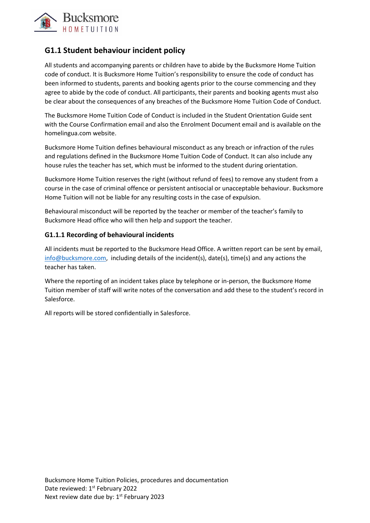

# **G1.1 Student behaviour incident policy**

All students and accompanying parents or children have to abide by the Bucksmore Home Tuition code of conduct. It is Bucksmore Home Tuition's responsibility to ensure the code of conduct has been informed to students, parents and booking agents prior to the course commencing and they agree to abide by the code of conduct. All participants, their parents and booking agents must also be clear about the consequences of any breaches of the Bucksmore Home Tuition Code of Conduct.

The Bucksmore Home Tuition Code of Conduct is included in the Student Orientation Guide sent with the Course Confirmation email and also the Enrolment Document email and is available on the homelingua.com website.

Bucksmore Home Tuition defines behavioural misconduct as any breach or infraction of the rules and regulations defined in the Bucksmore Home Tuition Code of Conduct. It can also include any house rules the teacher has set, which must be informed to the student during orientation.

Bucksmore Home Tuition reserves the right (without refund of fees) to remove any student from a course in the case of criminal offence or persistent antisocial or unacceptable behaviour. Bucksmore Home Tuition will not be liable for any resulting costs in the case of expulsion.

Behavioural misconduct will be reported by the teacher or member of the teacher's family to Bucksmore Head office who will then help and support the teacher.

## **G1.1.1 Recording of behavioural incidents**

All incidents must be reported to the Bucksmore Head Office. A written report can be sent by email, [info@bucksmore.com,](mailto:info@bucksmore.com) including details of the incident(s), date(s), time(s) and any actions the teacher has taken.

Where the reporting of an incident takes place by telephone or in-person, the Bucksmore Home Tuition member of staff will write notes of the conversation and add these to the student's record in Salesforce.

All reports will be stored confidentially in Salesforce.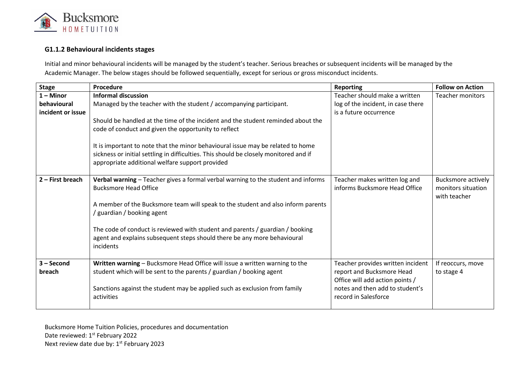

## **G1.1.2 Behavioural incidents stages**

Initial and minor behavioural incidents will be managed by the student's teacher. Serious breaches or subsequent incidents will be managed by the Academic Manager. The below stages should be followed sequentially, except for serious or gross misconduct incidents.

| <b>Stage</b>                                    | Procedure                                                                                                                                                                                                                                                                                                                                                                                                                                                                    | <b>Reporting</b>                                                                                                                                             | <b>Follow on Action</b>                                         |
|-------------------------------------------------|------------------------------------------------------------------------------------------------------------------------------------------------------------------------------------------------------------------------------------------------------------------------------------------------------------------------------------------------------------------------------------------------------------------------------------------------------------------------------|--------------------------------------------------------------------------------------------------------------------------------------------------------------|-----------------------------------------------------------------|
| $1 -$ Minor<br>behavioural<br>incident or issue | <b>Informal discussion</b><br>Managed by the teacher with the student / accompanying participant.<br>Should be handled at the time of the incident and the student reminded about the<br>code of conduct and given the opportunity to reflect<br>It is important to note that the minor behavioural issue may be related to home<br>sickness or initial settling in difficulties. This should be closely monitored and if<br>appropriate additional welfare support provided | Teacher should make a written<br>log of the incident, in case there<br>is a future occurrence                                                                | <b>Teacher monitors</b>                                         |
| $2$ – First breach                              | Verbal warning - Teacher gives a formal verbal warning to the student and informs<br><b>Bucksmore Head Office</b><br>A member of the Bucksmore team will speak to the student and also inform parents<br>/ guardian / booking agent<br>The code of conduct is reviewed with student and parents / guardian / booking<br>agent and explains subsequent steps should there be any more behavioural<br>incidents                                                                | Teacher makes written log and<br>informs Bucksmore Head Office                                                                                               | <b>Bucksmore actively</b><br>monitors situation<br>with teacher |
| $3 - Second$<br>breach                          | Written warning - Bucksmore Head Office will issue a written warning to the<br>student which will be sent to the parents / guardian / booking agent<br>Sanctions against the student may be applied such as exclusion from family<br>activities                                                                                                                                                                                                                              | Teacher provides written incident<br>report and Bucksmore Head<br>Office will add action points /<br>notes and then add to student's<br>record in Salesforce | If reoccurs, move<br>to stage 4                                 |

Bucksmore Home Tuition Policies, procedures and documentation Date reviewed: 1st February 2022 Next review date due by: 1<sup>st</sup> February 2023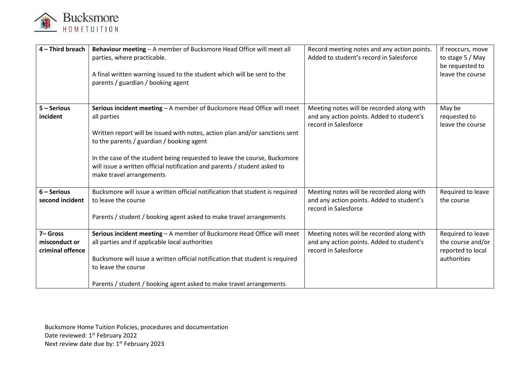

| 4 - Third breach                             | Behaviour meeting - A member of Bucksmore Head Office will meet all<br>parties, where practicable.<br>A final written warning issued to the student which will be sent to the<br>parents / guardian / booking agent                                                                                                                                                                                     | Record meeting notes and any action points.<br>Added to student's record in Salesforce                         | If reoccurs, move<br>to stage 5 / May<br>be requested to<br>leave the course |
|----------------------------------------------|---------------------------------------------------------------------------------------------------------------------------------------------------------------------------------------------------------------------------------------------------------------------------------------------------------------------------------------------------------------------------------------------------------|----------------------------------------------------------------------------------------------------------------|------------------------------------------------------------------------------|
| $5 -$ Serious<br>incident                    | Serious incident meeting - A member of Bucksmore Head Office will meet<br>all parties<br>Written report will be issued with notes, action plan and/or sanctions sent<br>to the parents / guardian / booking agent<br>In the case of the student being requested to leave the course, Bucksmore<br>will issue a written official notification and parents / student asked to<br>make travel arrangements | Meeting notes will be recorded along with<br>and any action points. Added to student's<br>record in Salesforce | May be<br>requested to<br>leave the course                                   |
| $6 -$ Serious<br>second incident             | Bucksmore will issue a written official notification that student is required<br>to leave the course<br>Parents / student / booking agent asked to make travel arrangements                                                                                                                                                                                                                             | Meeting notes will be recorded along with<br>and any action points. Added to student's<br>record in Salesforce | Required to leave<br>the course                                              |
| 7-Gross<br>misconduct or<br>criminal offence | Serious incident meeting - A member of Bucksmore Head Office will meet<br>all parties and if applicable local authorities<br>Bucksmore will issue a written official notification that student is required<br>to leave the course<br>Parents / student / booking agent asked to make travel arrangements                                                                                                | Meeting notes will be recorded along with<br>and any action points. Added to student's<br>record in Salesforce | Required to leave<br>the course and/or<br>reported to local<br>authorities   |

Bucksmore Home Tuition Policies, procedures and documentation Date reviewed: 1st February 2022 Next review date due by: 1<sup>st</sup> February 2023